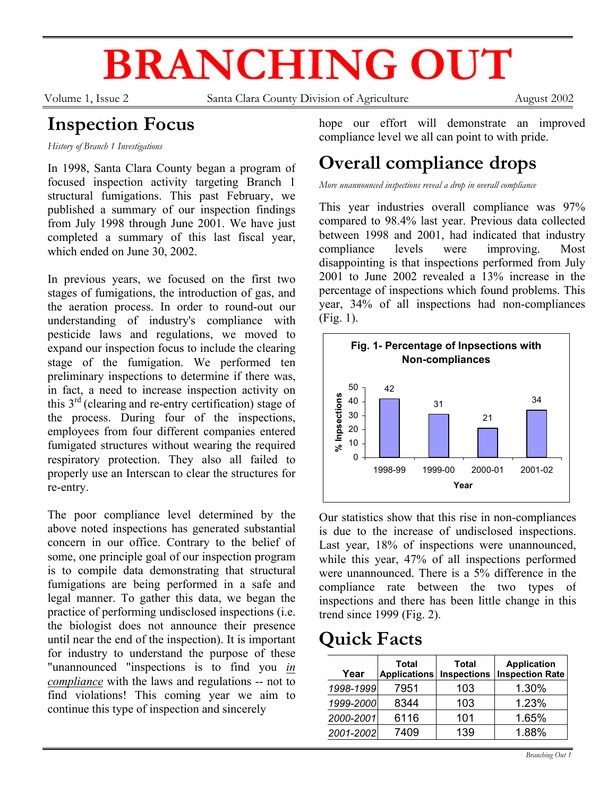# **BRANCHING OUT**

Volume 1, Issue 2 Santa Clara County Division of Agriculture August 2002

# **Inspection Focus**

*History of Branch 1 Investigations* 

In 1998, Santa Clara County began a program of focused inspection activity targeting Branch 1 structural fumigations. This past February, we published a summary of our inspection findings from July 1998 through June 2001. We have just completed a summary of this last fiscal year, which ended on June 30, 2002.

In previous years, we focused on the first two stages of fumigations, the introduction of gas, and the aeration process. In order to round-out our understanding of industry's compliance with pesticide laws and regulations, we moved to expand our inspection focus to include the clearing stage of the fumigation. We performed ten preliminary inspections to determine if there was, in fact, a need to increase inspection activity on this  $3<sup>rd</sup>$  (clearing and re-entry certification) stage of the process. During four of the inspections, employees from four different companies entered fumigated structures without wearing the required respiratory protection. They also all failed to properly use an Interscan to clear the structures for re-entry.

The poor compliance level determined by the above noted inspections has generated substantial concern in our office. Contrary to the belief of some, one principle goal of our inspection program is to compile data demonstrating that structural fumigations are being performed in a safe and legal manner. To gather this data, we began the practice of performing undisclosed inspections (i.e. the biologist does not announce their presence until near the end of the inspection). It is important for industry to understand the purpose of these "unannounced "inspections is to find you *in compliance* with the laws and regulations -- not to find violations! This coming year we aim to continue this type of inspection and sincerely

hope our effort will demonstrate an improved compliance level we all can point to with pride.

# **Overall compliance drops**

*More unannounced inspections reveal a drop in overall compliance* 

This year industries overall compliance was 97% compared to 98.4% last year. Previous data collected between 1998 and 2001, had indicated that industry compliance levels were improving. Most disappointing is that inspections performed from July 2001 to June 2002 revealed a 13% increase in the percentage of inspections which found problems. This year, 34% of all inspections had non-compliances (Fig. 1).



Our statistics show that this rise in non-compliances is due to the increase of undisclosed inspections. Last year, 18% of inspections were unannounced, while this year, 47% of all inspections performed were unannounced. There is a 5% difference in the compliance rate between the two types of inspections and there has been little change in this trend since 1999 (Fig. 2).

### **Quick Facts**

| Year      | <b>Total</b><br><b>Applications</b> | <b>Total</b><br><b>Inspections</b> | <b>Application</b><br><b>Inspection Rate</b> |
|-----------|-------------------------------------|------------------------------------|----------------------------------------------|
| 1998-1999 | 7951                                | 103                                | 1.30%                                        |
| 1999-2000 | 8344                                | 103                                | 1.23%                                        |
| 2000-2001 | 6116                                | 101                                | 1.65%                                        |
| 2001-2002 | 7409                                | 139                                | 1.88%                                        |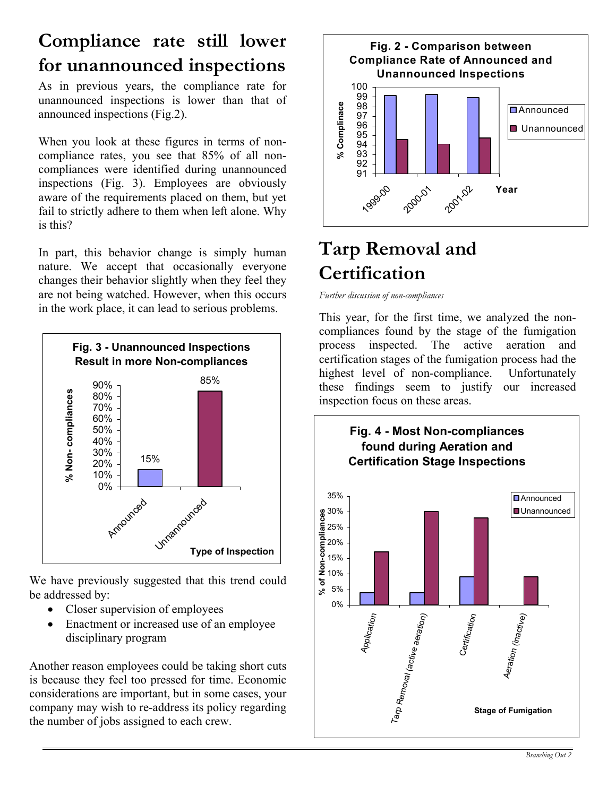# **Compliance rate still lower for unannounced inspections**

As in previous years, the compliance rate for unannounced inspections is lower than that of announced inspections (Fig.2).

When you look at these figures in terms of noncompliance rates, you see that 85% of all noncompliances were identified during unannounced inspections (Fig. 3). Employees are obviously aware of the requirements placed on them, but yet fail to strictly adhere to them when left alone. Why is this?

In part, this behavior change is simply human nature. We accept that occasionally everyone changes their behavior slightly when they feel they are not being watched. However, when this occurs in the work place, it can lead to serious problems.



We have previously suggested that this trend could be addressed by:

- Closer supervision of employees
- Enactment or increased use of an employee disciplinary program

Another reason employees could be taking short cuts is because they feel too pressed for time. Economic considerations are important, but in some cases, your company may wish to re-address its policy regarding the number of jobs assigned to each crew.



# **Tarp Removal and Certification**

*Further discussion of non-compliances* 

This year, for the first time, we analyzed the noncompliances found by the stage of the fumigation process inspected. The active aeration and certification stages of the fumigation process had the highest level of non-compliance. Unfortunately these findings seem to justify our increased inspection focus on these areas.